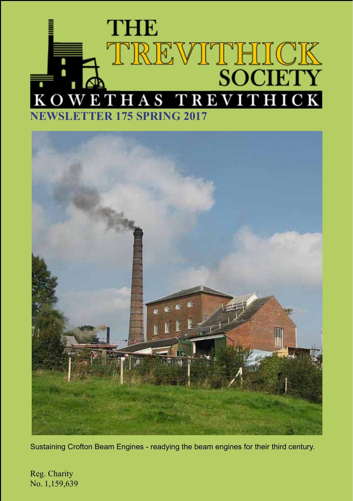# **THE** TREVITHICK **REVITHICK**  $K<sub>O</sub>$  $S$  T E T ŀ **NER 175 SPRING 2017**



Sustaining Crofton Beam Engines - readying the beam engines for their third century.

Reg. Charity No. 1,159,639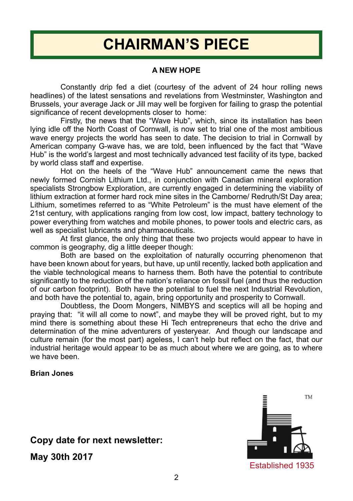# **CHAIRMAN'S PIECE**

### **A NEW HOPE**

Constantly drip fed a diet (courtesy of the advent of 24 hour rolling news headlines) of the latest sensations and revelations from Westminster, Washington and Brussels, your average Jack or Jill may well be forgiven for failing to grasp the potential significance of recent developments closer to home:

Firstly, the news that the "Wave Hub", which, since its installation has been lying idle off the North Coast of Cornwall, is now set to trial one of the most ambitious wave energy projects the world has seen to date. The decision to trial in Cornwall by American company G-wave has, we are told, been influenced by the fact that "Wave Hub" is the world's largest and most technically advanced test facility of its type, backed by world class staff and expertise.

Hot on the heels of the "Wave Hub" announcement came the news that newly formed Cornish Lithium Ltd., in conjunction with Canadian mineral exploration specialists Strongbow Exploration, are currently engaged in determining the viability of lithium extraction at former hard rock mine sites in the Camborne/ Redruth/St Day area; Lithium, sometimes referred to as "White Petroleum" is the must have element of the 21st century, with applications ranging from low cost, low impact, battery technology to power everything from watches and mobile phones, to power tools and electric cars, as well as specialist lubricants and pharmaceuticals.

At first glance, the only thing that these two projects would appear to have in common is geography, dig a little deeper though:

Both are based on the exploitation of naturally occurring phenomenon that have been known about for years, but have, up until recently, lacked both application and the viable technological means to harness them. Both have the potential to contribute significantly to the reduction of the nation's reliance on fossil fuel (and thus the reduction of our carbon footprint). Both have the potential to fuel the next Industrial Revolution, and both have the potential to, again, bring opportunity and prosperity to Cornwall.

Doubtless, the Doom Mongers, NIMBYS and sceptics will all be hoping and praying that: "it will all come to nowt", and maybe they will be proved right, but to my mind there is something about these Hi Tech entrepreneurs that echo the drive and determination of the mine adventurers of yesteryear. And though our landscape and culture remain (for the most part) ageless, I can't help but reflect on the fact, that our industrial heritage would appear to be as much about where we are going, as to where we have been.

### **Brian Jones**

# **Copy date for next newsletter: May 30th 2017**

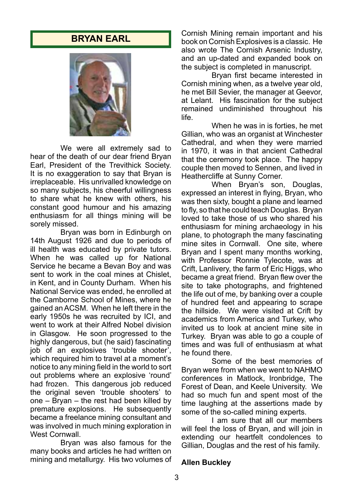### **BRYAN EARL**



We were all extremely sad to hear of the death of our dear friend Bryan Earl, President of the Trevithick Society. It is no exaggeration to say that Bryan is irreplaceable. His unrivalled knowledge on so many subjects, his cheerful willingness to share what he knew with others, his constant good humour and his amazing enthusiasm for all things mining will be sorely missed.

Bryan was born in Edinburgh on 14th August 1926 and due to periods of ill health was educated by private tutors. When he was called up for National Service he became a Bevan Boy and was sent to work in the coal mines at Chislet, in Kent, and in County Durham. When his National Service was ended, he enrolled at the Camborne School of Mines, where he gained an ACSM. When he left there in the early 1950s he was recruited by ICI, and went to work at their Alfred Nobel division in Glasgow. He soon progressed to the highly dangerous, but (he said) fascinating job of an explosives 'trouble shooter'. which required him to travel at a moment's notice to any mining field in the world to sort out problems where an explosive 'round' had frozen. This dangerous job reduced the original seven 'trouble shooters' to one – Bryan – the rest had been killed by premature explosions. He subsequently became a freelance mining consultant and was involved in much mining exploration in West Cornwall.

Bryan was also famous for the many books and articles he had written on mining and metallurgy. His two volumes of Cornish Mining remain important and his book on Cornish Explosives is a classic. He also wrote The Cornish Arsenic Industry, and an up-dated and expanded book on the subject is completed in manuscript.

Bryan first became interested in Cornish mining when, as a twelve year old, he met Bill Sevier, the manager at Geevor, at Lelant. His fascination for the subject remained undiminished throughout his life.

When he was in is forties, he met Gillian, who was an organist at Winchester Cathedral, and when they were married in 1970, it was in that ancient Cathedral that the ceremony took place. The happy couple then moved to Sennen, and lived in Heathercliffe at Sunny Corner.

When Bryan's son, Douglas, expressed an interest in flying, Bryan, who was then sixty, bought a plane and learned to fly, so that he could teach Douglas. Bryan loved to take those of us who shared his enthusiasm for mining archaeology in his plane, to photograph the many fascinating mine sites in Cornwall. One site, where Bryan and I spent many months working, with Professor Ronnie Tylecote, was at Crift, Lanlivery, the farm of Eric Higgs, who became a great friend. Bryan flew over the site to take photographs, and frightened the life out of me, by banking over a couple of hundred feet and appearing to scrape the hillside. We were visited at Crift by academics from America and Turkey, who invited us to look at ancient mine site in Turkey. Bryan was able to go a couple of times and was full of enthusiasm at what he found there.

Some of the best memories of Bryan were from when we went to NAHMO conferences in Matlock, Ironbridge, The Forest of Dean, and Keele University. We had so much fun and spent most of the time laughing at the assertions made by some of the so-called mining experts.

I am sure that all our members will feel the loss of Brvan, and will join in extending our heartfelt condolences to Gillian, Douglas and the rest of his family.

#### **Allen Buckley**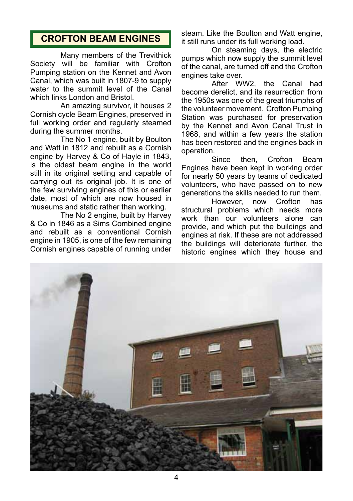# **CROFTON BEAM ENGINES**

Many members of the Trevithick Society will be familiar with Crofton Pumping station on the Kennet and Avon Canal, which was built in 1807-9 to supply water to the summit level of the Canal which links London and Bristol.

An amazing survivor, it houses 2 Cornish cycle Beam Engines, preserved in full working order and regularly steamed during the summer months.

The No 1 engine, built by Boulton and Watt in 1812 and rebuilt as a Cornish engine by Harvey & Co of Hayle in 1843, is the oldest beam engine in the world still in its original setting and capable of carrying out its original job. It is one of the few surviving engines of this or earlier date, most of which are now housed in museums and static rather than working.

The No 2 engine, built by Harvey & Co in 1846 as a Sims Combined engine and rebuilt as a conventional Cornish engine in 1905, is one of the few remaining Cornish engines capable of running under steam. Like the Boulton and Watt engine, it still runs under its full working load.

On steaming days, the electric pumps which now supply the summit level of the canal, are turned off and the Crofton engines take over.

After WW2, the Canal had become derelict, and its resurrection from the 1950s was one of the great triumphs of the volunteer movement. Crofton Pumping Station was purchased for preservation by the Kennet and Avon Canal Trust in 1968, and within a few years the station has been restored and the engines back in operation.

Since then, Crofton Beam Engines have been kept in working order for nearly 50 years by teams of dedicated volunteers, who have passed on to new generations the skills needed to run them.<br>However now Crofton has

However, structural problems which needs more work than our volunteers alone can provide, and which put the buildings and engines at risk. If these are not addressed the buildings will deteriorate further, the historic engines which they house and

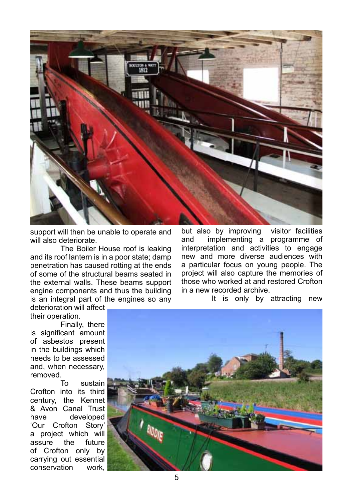

support will then be unable to operate and will also deteriorate.

The Boiler House roof is leaking and its roof lantern is in a poor state; damp penetration has caused rotting at the ends of some of the structural beams seated in the external walls. These beams support engine components and thus the building is an integral part of the engines so any but also by improving visitor facilities and implementing a programme of interpretation and activities to engage new and more diverse audiences with a particular focus on young people. The project will also capture the memories of those who worked at and restored Crofton in a new recorded archive.

deterioration will affect

their operation. Finally, there is significant amount of asbestos present in the buildings which needs to be assessed and, when necessary,

removed.<br>To sustain Crofton into its third century, the Kennet & Avon Canal Trust<br>have developed have developed 'Our Crofton Story' a project which will assure the future of Crofton only by carrying out essential conservation work,



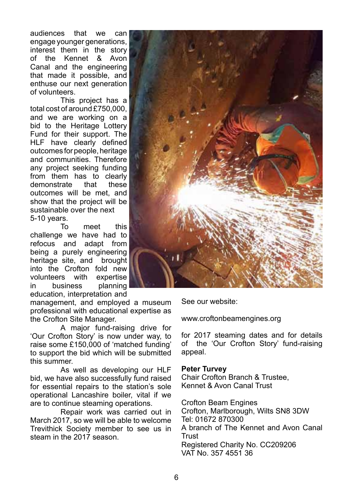audiences that we can engage younger generations, interest them in the story of the Kennet & Avon Canal and the engineering that made it possible, and enthuse our next generation of volunteers.

This project has a total cost of around £750,000, and we are working on a bid to the Heritage Lottery Fund for their support. The HLF have clearly defined outcomes for people, heritage and communities. Therefore any project seeking funding from them has to clearly<br>demonstrate that these demonstrate that outcomes will be met, and show that the project will be sustainable over the next 5-10 years.

To meet this challenge we have had to refocus and adapt from being a purely engineering heritage site, and brought into the Crofton fold new volunteers with expertise in business planning education, interpretation and

management, and employed a museum professional with educational expertise as the Crofton Site Manager.

A major fund-raising drive for 'Our Crofton Story' is now under way, to raise some £150,000 of 'matched funding' to support the bid which will be submitted this summer.

As well as developing our HLF bid, we have also successfully fund raised for essential repairs to the station's sole operational Lancashire boiler, vital if we are to continue steaming operations.

Repair work was carried out in March 2017, so we will be able to welcome Trevithick Society member to see us in steam in the 2017 season.



See our website:

www.croftonbeamengines.org

for 2017 steaming dates and for details of the 'Our Crofton Story' fund-raising appeal.

### **Peter Turvey**

Chair Crofton Branch & Trustee, Kennet & Avon Canal Trust

Crofton Beam Engines Crofton, Marlborough, Wilts SN8 3DW Tel: 01672 870300 A branch of The Kennet and Avon Canal **Trust** Registered Charity No. CC209206 VAT No. 357 4551 36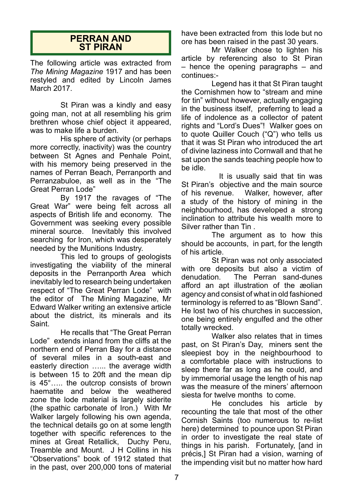### **PERRAN AND ST PIRAN**

The following article was extracted from *The Mining Magazine* 1917 and has been restyled and edited by Lincoln James March 2017.

St Piran was a kindly and easy going man, not at all resembling his grim brethren whose chief object it appeared, was to make life a burden.

His sphere of activity (or perhaps more correctly, inactivity) was the country between St Agnes and Penhale Point, with his memory being preserved in the names of Perran Beach, Perranporth and Perranzabuloe, as well as in the "The Great Perran Lode"

By 1917 the ravages of "The Great War" were being felt across all aspects of British life and economy. The Government was seeking every possible mineral source. Inevitably this involved searching for Iron, which was desperately needed by the Munitions Industry.

This led to groups of geologists investigating the viability of the mineral deposits in the Perranporth Area which inevitably led to research being undertaken respect of "The Great Perran Lode" with the editor of The Mining Magazine, Mr Edward Walker writing an extensive article about the district, its minerals and its Saint.

He recalls that "The Great Perran Lode" extends inland from the cliffs at the northern end of Perran Bay for a distance of several miles in a south-east and easterly direction …... the average width is between 15 to 20ft and the mean dip is 45°….. the outcrop consists of brown haematite and below the weathered zone the lode material is largely siderite (the spathic carbonate of Iron.) With Mr Walker largely following his own agenda, the technical details go on at some length together with specific references to the mines at Great Retallick, Duchy Peru, Treamble and Mount. J H Collins in his "Observations" book of 1912 stated that in the past, over 200,000 tons of material

have been extracted from this lode but no ore has been raised in the past 30 years.

Mr Walker chose to lighten his article by referencing also to St Piran – hence the opening paragraphs – and continues:-

Legend has it that St Piran taught the Cornishmen how to "stream and mine for tin" without however, actually engaging in the business itself, preferring to lead a life of indolence as a collector of patent rights and "Lord's Dues"! Walker goes on to quote Quiller Couch ("Q") who tells us that it was St Piran who introduced the art of divine laziness into Cornwall and that he sat upon the sands teaching people how to be idle.

 It is usually said that tin was St Piran's objective and the main source of his revenue. Walker, however, after a study of the history of mining in the neighbourhood, has developed a strong inclination to attribute his wealth more to Silver rather than Tin .

The argument as to how this should be accounts, in part, for the length of his article.

St Piran was not only associated with ore deposits but also a victim of<br>denudation. The Perran sand-dunes The Perran sand-dunes afford an apt illustration of the æolian agency and consist of what in old fashioned terminology is referred to as "Blown Sand". He lost two of his churches in succession, one being entirely engulfed and the other totally wrecked.

Walker also relates that in times past, on St Piran's Day, miners sent the sleepiest boy in the neighbourhood to a comfortable place with instructions to sleep there far as long as he could, and by immemorial usage the length of his nap was the measure of the miners' afternoon siesta for twelve months to come.

He concludes his article by recounting the tale that most of the other Cornish Saints (too numerous to re-list here) determined to pounce upon St Piran in order to investigate the real state of things in his parish. Fortunately, [and in précis,] St Piran had a vision, warning of the impending visit but no matter how hard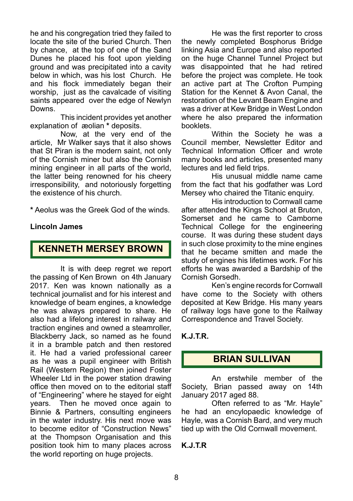he and his congregation tried they failed to locate the site of the buried Church. Then by chance, at the top of one of the Sand Dunes he placed his foot upon yielding ground and was precipitated into a cavity below in which, was his lost Church. He and his flock immediately began their worship, just as the cavalcade of visiting saints appeared over the edge of Newlyn Downs.

This incident provides yet another explanation of æolian **\*** deposits.

Now, at the very end of the article, Mr Walker says that it also shows that St Piran is the modern saint, not only of the Cornish miner but also the Cornish mining engineer in all parts of the world, the latter being renowned for his cheery irresponsibility, and notoriously forgetting the existence of his church.

**\*** Aeolus was the Greek God of the winds.

### **Lincoln James**

## **KENNETH MERSEY BROWN**

It is with deep regret we report the passing of Ken Brown on 4th January 2017. Ken was known nationally as a technical journalist and for his interest and knowledge of beam engines, a knowledge he was always prepared to share. He also had a lifelong interest in railway and traction engines and owned a steamroller, Blackberry Jack, so named as he found it in a bramble patch and then restored it. He had a varied professional career as he was a pupil engineer with British Rail (Western Region) then joined Foster Wheeler Ltd in the power station drawing office then moved on to the editorial staff of "Engineering" where he stayed for eight years. Then he moved once again to Binnie & Partners, consulting engineers in the water industry. His next move was to become editor of "Construction News" at the Thompson Organisation and this position took him to many places across the world reporting on huge projects.

He was the first reporter to cross the newly completed Bosphorus Bridge linking Asia and Europe and also reported on the huge Channel Tunnel Project but was disappointed that he had retired before the project was complete. He took an active part at The Crofton Pumping Station for the Kennet & Avon Canal, the restoration of the Levant Beam Engine and was a driver at Kew Bridge in West London where he also prepared the information booklets.

Within the Society he was a Council member, Newsletter Editor and Technical Information Officer and wrote many books and articles, presented many lectures and led field trips.

His unusual middle name came from the fact that his godfather was Lord Mersey who chaired the Titanic enquiry.

His introduction to Cornwall came after attended the Kings School at Bruton, Somerset and he came to Camborne Technical College for the engineering course. It was during these student days in such close proximity to the mine engines that he became smitten and made the study of engines his lifetimes work. For his efforts he was awarded a Bardship of the Cornish Gorsedh.

Ken's engine records for Cornwall have come to the Society with others deposited at Kew Bridge. His many years of railway logs have gone to the Railway Correspondence and Travel Society.

### **K.J.T.R.**

# **BRIAN SULLIVAN**

An erstwhile member of the Society, Brian passed away on 14th January 2017 aged 88.

Often referred to as "Mr. Hayle" he had an encylopaedic knowledge of Hayle, was a Cornish Bard, and very much tied up with the Old Cornwall movement.

### **K.J.T.R**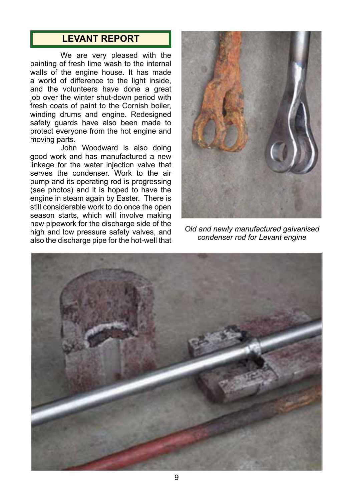# **LEVANT REPORT**

We are very pleased with the painting of fresh lime wash to the internal walls of the engine house. It has made a world of difference to the light inside, and the volunteers have done a great job over the winter shut-down period with fresh coats of paint to the Cornish boiler, winding drums and engine. Redesigned safety guards have also been made to protect everyone from the hot engine and moving parts.

John Woodward is also doing good work and has manufactured a new linkage for the water injection valve that serves the condenser. Work to the air pump and its operating rod is progressing (see photos) and it is hoped to have the engine in steam again by Easter. There is still considerable work to do once the open season starts, which will involve making new pipework for the discharge side of the high and low pressure safety valves, and also the discharge pipe for the hot-well that



*Old and newly manufactured galvanised condenser rod for Levant engine*

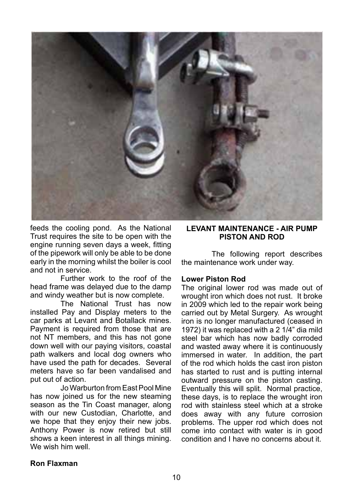

feeds the cooling pond. As the National Trust requires the site to be open with the engine running seven days a week, fitting of the pipework will only be able to be done early in the morning whilst the boiler is cool and not in service.

Further work to the roof of the head frame was delayed due to the damp and windy weather but is now complete.

The National Trust has now installed Pay and Display meters to the car parks at Levant and Botallack mines. Payment is required from those that are not NT members, and this has not gone down well with our paying visitors, coastal path walkers and local dog owners who have used the path for decades. Several meters have so far been vandalised and put out of action.

Jo Warburton from East Pool Mine has now joined us for the new steaming season as the Tin Coast manager, along with our new Custodian, Charlotte, and we hope that they enjoy their new jobs. Anthony Power is now retired but still shows a keen interest in all things mining. We wish him well.

### **LEVANT MAINTENANCE - AIR PUMP PISTON AND ROD**

The following report describes the maintenance work under way.

### **Lower Piston Rod**

The original lower rod was made out of wrought iron which does not rust. It broke in 2009 which led to the repair work being carried out by Metal Surgery. As wrought iron is no longer manufactured (ceased in 1972) it was replaced with a 2 1/4" dia mild steel bar which has now badly corroded and wasted away where it is continuously immersed in water. In addition, the part of the rod which holds the cast iron piston has started to rust and is putting internal outward pressure on the piston casting. Eventually this will split. Normal practice, these days, is to replace the wrought iron rod with stainless steel which at a stroke does away with any future corrosion problems. The upper rod which does not come into contact with water is in good condition and I have no concerns about it.

### **Ron Flaxman**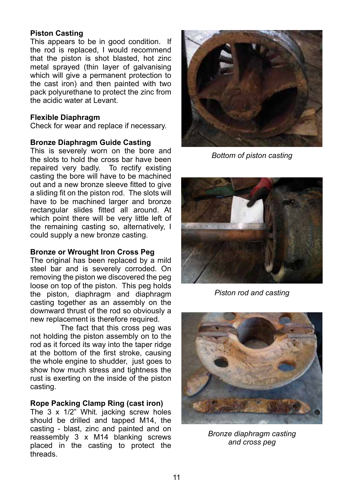### **Piston Casting**

This appears to be in good condition. If the rod is replaced, I would recommend that the piston is shot blasted, hot zinc metal sprayed (thin layer of galvanising which will give a permanent protection to the cast iron) and then painted with two pack polyurethane to protect the zinc from the acidic water at Levant.

### **Flexible Diaphragm**

Check for wear and replace if necessary.

### **Bronze Diaphragm Guide Casting**

This is severely worn on the bore and the slots to hold the cross bar have been repaired very badly. To rectify existing casting the bore will have to be machined out and a new bronze sleeve fitted to give a sliding fit on the piston rod. The slots will have to be machined larger and bronze rectangular slides fitted all around. At which point there will be very little left of the remaining casting so, alternatively, I could supply a new bronze casting.

### **Bronze or Wrought Iron Cross Peg**

The original has been replaced by a mild steel bar and is severely corroded. On removing the piston we discovered the peg loose on top of the piston. This peg holds the piston, diaphragm and diaphragm casting together as an assembly on the downward thrust of the rod so obviously a new replacement is therefore required.

The fact that this cross peg was not holding the piston assembly on to the rod as it forced its way into the taper ridge at the bottom of the first stroke, causing the whole engine to shudder, just goes to show how much stress and tightness the rust is exerting on the inside of the piston casting.

### **Rope Packing Clamp Ring (cast iron)**

The 3 x 1/2" Whit. jacking screw holes should be drilled and tapped M14, the casting - blast, zinc and painted and on reassembly 3 x M14 blanking screws placed in the casting to protect the threads.



*Bottom of piston casting*



*Piston rod and casting*



*Bronze diaphragm casting and cross peg*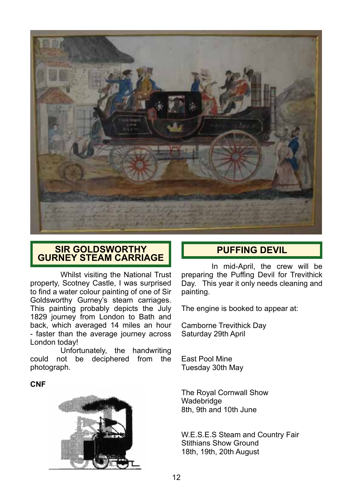

## **SIR GOLDSWORTHY GURNEY STEAM CARRIAGE**

Whilst visiting the National Trust property, Scotney Castle, I was surprised to find a water colour painting of one of Sir Goldsworthy Gurney's steam carriages. This painting probably depicts the July 1829 journey from London to Bath and back, which averaged 14 miles an hour - faster than the average journey across London today!

Unfortunately, the handwriting could not be deciphered from the photograph.

**CNF**



# **PUFFING DEVIL**

In mid-April, the crew will be preparing the Puffing Devil for Trevithick Day. This year it only needs cleaning and painting.

The engine is booked to appear at:

Camborne Trevithick Day Saturday 29th April

East Pool Mine Tuesday 30th May

The Royal Cornwall Show Wadebridge 8th, 9th and 10th June

W.E.S.E.S Steam and Country Fair Stithians Show Ground 18th, 19th, 20th August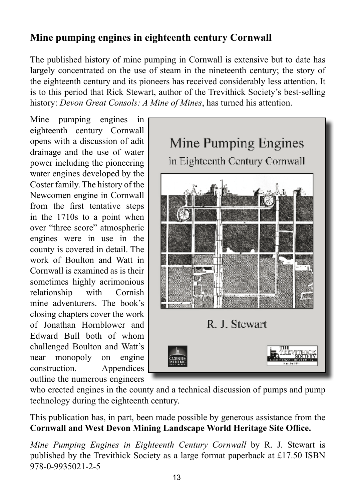# **Mine pumping engines in eighteenth century Cornwall**

The published history of mine pumping in Cornwall is extensive but to date has largely concentrated on the use of steam in the nineteenth century; the story of the eighteenth century and its pioneers has received considerably less attention. It is to this period that Rick Stewart, author of the Trevithick Society's best-selling history: *Devon Great Consols: A Mine of Mines*, has turned his attention.

Mine pumping engines in eighteenth century Cornwall opens with a discussion of adit drainage and the use of water power including the pioneering water engines developed by the Coster family. The history of the Newcomen engine in Cornwall from the first tentative steps in the 1710s to a point when over "three score" atmospheric engines were in use in the county is covered in detail. The work of Boulton and Watt in Cornwall is examined as is their sometimes highly acrimonious relationship with Cornish mine adventurers. The book's closing chapters cover the work of Jonathan Hornblower and Edward Bull both of whom challenged Boulton and Watt's near monopoly on engine construction. Appendices outline the numerous engineers



who erected engines in the county and a technical discussion of pumps and pump technology during the eighteenth century.

This publication has, in part, been made possible by generous assistance from the **Cornwall and West Devon Mining Landscape World Heritage Site Office.**

*Mine Pumping Engines in Eighteenth Century Cornwall* by R. J. Stewart is published by the Trevithick Society as a large format paperback at £17.50 ISBN 978-0-9935021-2-5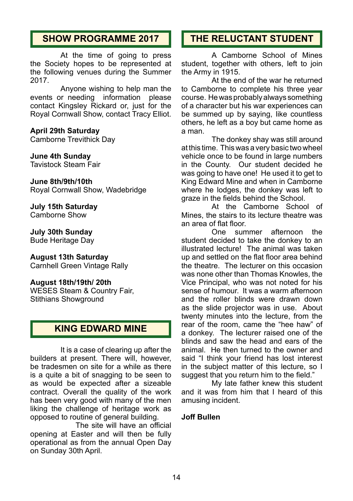# **SHOW PROGRAMME 2017**

At the time of going to press the Society hopes to be represented at the following venues during the Summer 2017.

Anyone wishing to help man the events or needing information please contact Kingsley Rickard or, just for the Royal Cornwall Show, contact Tracy Elliot.

### **April 29th Saturday**

Camborne Trevithick Day

# **June 4th Sunday**

Tavistock Steam Fair

### **June 8th/9th/10th**

Royal Cornwall Show, Wadebridge

**July 15th Saturday** Camborne Show

**July 30th Sunday** Bude Heritage Day

**August 13th Saturday** Carnhell Green Vintage Rally

**August 18th/19th/ 20th** WESES Steam & Country Fair, Stithians Showground

# **KING EDWARD MINE**

It is a case of clearing up after the builders at present. There will, however, be tradesmen on site for a while as there is a quite a bit of snagging to be seen to as would be expected after a sizeable contract. Overall the quality of the work has been very good with many of the men liking the challenge of heritage work as opposed to routine of general building.

 The site will have an official opening at Easter and will then be fully operational as from the annual Open Day on Sunday 30th April.

# **THE RELUCTANT STUDENT**

A Camborne School of Mines student, together with others, left to join the Army in 1915.

At the end of the war he returned to Camborne to complete his three year course. He was probably always something of a character but his war experiences can be summed up by saying, like countless others, he left as a boy but came home as a man.

The donkey shay was still around at this time. This was a very basic two wheel vehicle once to be found in large numbers in the County. Our student decided he was going to have one! He used it to get to King Edward Mine and when in Camborne where he lodges, the donkey was left to graze in the fields behind the School.

At the Camborne School of Mines, the stairs to its lecture theatre was an area of flat floor.

One summer afternoon the student decided to take the donkey to an illustrated lecture! The animal was taken up and settled on the flat floor area behind the theatre. The lecturer on this occasion was none other than Thomas Knowles, the Vice Principal, who was not noted for his sense of humour. It was a warm afternoon and the roller blinds were drawn down as the slide projector was in use. About twenty minutes into the lecture, from the rear of the room, came the "hee haw" of a donkey. The lecturer raised one of the blinds and saw the head and ears of the animal. He then turned to the owner and said "I think your friend has lost interest in the subject matter of this lecture, so I suggest that you return him to the field."

My late father knew this student and it was from him that I heard of this amusing incident.

### **Joff Bullen**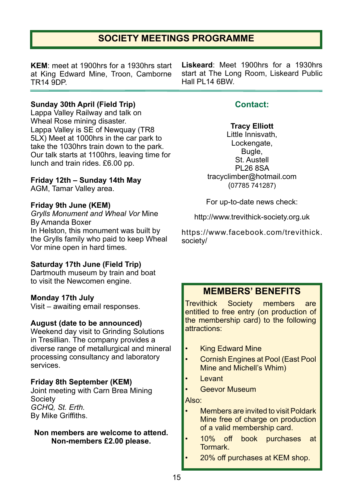# **SOCIETY MEETINGS PROGRAMME**

**KEM**: meet at 1900hrs for a 1930hrs start at King Edward Mine, Troon, Camborne TR14 9DP.

### **Sunday 30th April (Field Trip)**

Lappa Valley Railway and talk on Wheal Rose mining disaster. Lappa Valley is SE of Newquay (TR8 5LX) Meet at 1000hrs in the car park to take the 1030hrs train down to the park. Our talk starts at 1100hrs, leaving time for lunch and train rides. £6.00 pp.

### **Friday 12th – Sunday 14th May**

AGM, Tamar Valley area.

### **Friday 9th June (KEM)**

*Grylls Monument and Wheal Vor* Mine By Amanda Boxer In Helston, this monument was built by the Grylls family who paid to keep Wheal Vor mine open in hard times.

### **Saturday 17th June (Field Trip)**

Dartmouth museum by train and boat to visit the Newcomen engine.

### **Monday 17th July**

Visit – awaiting email responses.

### **August (date to be announced)**

Weekend day visit to Grinding Solutions in Tresillian. The company provides a diverse range of metallurgical and mineral processing consultancy and laboratory services.

### **Friday 8th September (KEM)**

Joint meeting with Carn Brea Mining Society *GCHQ, St. Erth.* By Mike Griffiths.

### **Non members are welcome to attend. Non-members £2.00 please.**

**Liskeard**: Meet 1900hrs for a 1930hrs start at The Long Room, Liskeard Public Hall PI 14 6BW

## **Contact:**

### **Tracy Elliott**

Little Innisvath, Lockengate, Bugle, St. Austell PL26 8SA tracyclimber@hotmail.com (07785 741287)

For up-to-date news check:

http://www.trevithick-society.org.uk

https://www.facebook.com/trevithick. society/

# **MEMBERS' BENEFITS**

Trevithick Society members are entitled to free entry (on production of the membership card) to the following attractions:

- **King Edward Mine**
- Cornish Engines at Pool (East Pool Mine and Michell's Whim)
- Levant
- Geevor Museum

Also:

- Members are invited to visit Poldark Mine free of charge on production of a valid membership card.
- 10% off book purchases at Tormark.
	- 20% off purchases at KEM shop.